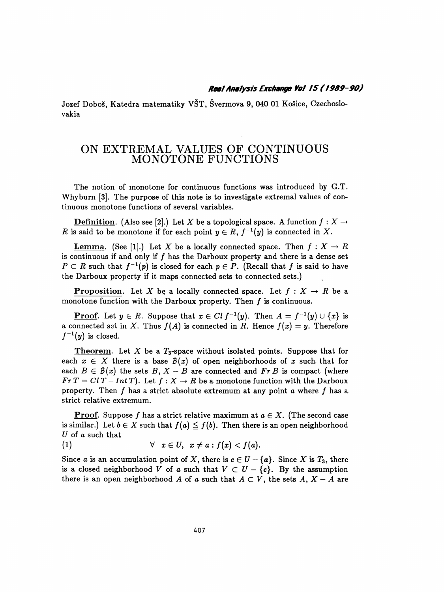## Real Analysis Exchange Vol. 15 (1989–90)

 Jozef Doboš, Katedra matematiky VŠT, Švermova 9, 040 01 Košice, Czechoslo vakia

## ON EXTREMAL VALUES OF CONTINUOUS MONOTONE FUNCTIONS

 The notion of monotone for continuous functions was introduced by G.T. Why burn [3]. The purpose of this note is to investigate extremal values of continuous monotone functions of several variables.

**Definition.** (Also see [2].) Let X be a topological space. A function  $f: X \rightarrow$ R is said to be monotone if for each point  $y \in R$ ,  $f^{-1}(y)$  is connected in X.

**Lemma.** (See [1].) Let X be a locally connected space. Then  $f: X \to R$ is continuous if and only if  $f$  has the Darboux property and there is a dense set  $P \subset R$  such that  $f^{-1}(p)$  is closed for each  $p \in P$ . (Recall that f is said to have the Darboux property if it maps connected sets to connected sets.)

**Proposition.** Let X be a locally connected space. Let  $f : X \to R$  be a monotone function with the Darboux property. Then  $f$  is continuous.

**Proof.** Let  $y \in R$ . Suppose that  $x \in Clf^{-1}(y)$ . Then  $A = f^{-1}(y) \cup \{x\}$  is a connected set in X. Thus  $f(A)$  is connected in R. Hence  $f(x) = y$ . Therefore  $f^{-1}(y)$  is closed.

**Theorem.** Let X be a  $T_3$ -space without isolated points. Suppose that for each  $x \in X$  there is a base  $\mathcal{B}(x)$  of open neighborhoods of x such, that for each  $B \in \mathcal{B}(x)$  the sets  $B, X - B$  are connected and  $\mathbf{F} \cdot \mathbf{r} B$  is compact (where  $F \cdot T = Cl T - Int T$ . Let  $f: X \to R$  be a monotone function with the Darboux property. Then  $f$  has a strict absolute extremum at any point  $a$  where  $f$  has a strict relative extremum.

**Proof.** Suppose f has a strict relative maximum at  $a \in X$ . (The second case is similar.) Let  $b \in X$  such that  $f(a) \leq f(b)$ . Then there is an open neighborhood U of  $a$  such that

(1) 
$$
\forall x \in U, x \neq a : f(x) < f(a).
$$

Since a is an accumulation point of X, there is  $c \in U - \{a\}$ . Since X is  $T_3$ , there is a closed neighborhood V of a such that  $V \subset U - \{c\}$ . By the assumption there is an open neighborhood A of a such that  $A \subset V$ , the sets  $A, X - A$  are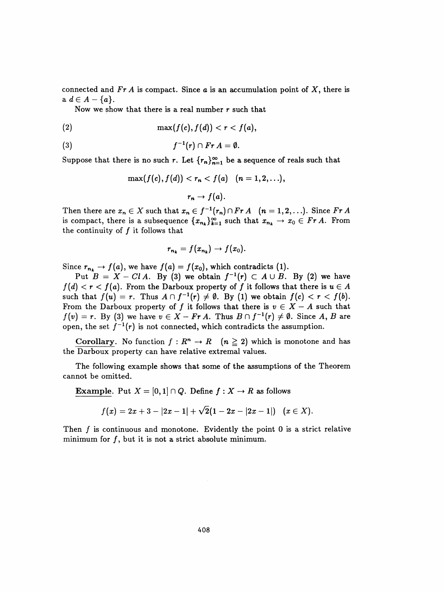connected and  $Fr A$  is compact. Since  $a$  is an accumulation point of  $X$ , there is  $a \ d \in A - \{a\}.$ 

Now we show that there is a real number  $r$  such that

$$
(2) \qquad \qquad \max(f(c),f(d)) < r < f(a),
$$

(3) 
$$
f^{-1}(r) \cap Fr A = \emptyset.
$$

Suppose that there is no such r. Let  $\{r_n\}_{n=1}^{\infty}$  be a sequence of reals such that

$$
\max(f(c),f(d)) < r_n < f(a) \quad (n = 1,2,\ldots),
$$
  

$$
r_n \to f(a).
$$

Then there are  $x_n \in X$  such that  $x_n \in f^{-1}(r_n) \cap Fr A$   $(n = 1, 2, ...)$ . Since  $Fr A$ is compact, there is a subsequence  $\{x_{n_k}\}_{k=1}^{\infty}$  such that  $x_{n_k} \to x_0 \in Fr A$ . From the continuity of  $f$  it follows that

$$
r_{n_k}=f(x_{n_k})\to f(x_0).
$$

Since  $r_{n_k} \to f(a)$ , we have  $f(a) = f(x_0)$ , which contradicts (1).

Put  $B = X - Cl A$ . By (3) we obtain  $f^{-1}(r) \subset A \cup B$ . By (2) we have  $f(d) < r < f(a)$ . From the Darboux property of f it follows that there is  $u \in A$ such that  $f(u) = r$ . Thus  $A \cap f^{-1}(r) \neq \emptyset$ . By (1) we obtain  $f(c) < r < f(b)$ . From the Darboux property of f it follows that there is  $v \in X - A$  such that  $f(v) = r$ . By (3) we have  $v \in X - Fr A$ . Thus  $B \cap f^{-1}(r) \neq \emptyset$ . Since A, B are open, the set  $f^{-1}(r)$  is not connected, which contradicts the assumption.

Corollary. No function  $f : R^n \to R \quad (n \geq 2)$  which is monotone and has the Darboux property can have relative extremal values.

 The following example shows that some of the assumptions of the Theorem cannot be omitted.

Example. Put  $X = [0,1] \cap Q$ . Define  $f : X \to R$  as follows

$$
f(x)=2x+3-|2x-1|+\sqrt{2}(1-2x-|2x-1|)\quad \ (x\in X).
$$

Then  $f$  is continuous and monotone. Evidently the point  $0$  is a strict relative minimum for  $f$ , but it is not a strict absolute minimum.